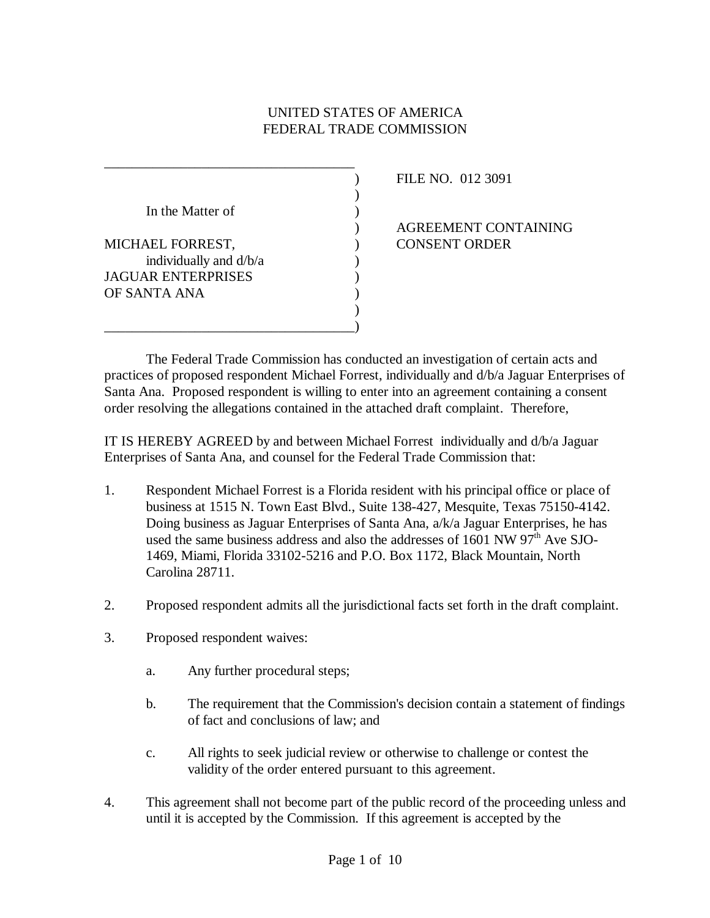# UNITED STATES OF AMERICA FEDERAL TRADE COMMISSION

| In the Matter of       |  |
|------------------------|--|
|                        |  |
| MICHAEL FORREST,       |  |
| individually and d/b/a |  |
| JAGUAR ENTERPRISES     |  |
| OF SANTA ANA           |  |
|                        |  |
|                        |  |

\_\_\_\_\_\_\_\_\_\_\_\_\_\_\_\_\_\_\_\_\_\_\_\_\_\_\_\_\_\_\_\_\_\_\_\_

) FILE NO. 012 3091

) AGREEMENT CONTAINING **CONSENT ORDER** 

The Federal Trade Commission has conducted an investigation of certain acts and practices of proposed respondent Michael Forrest, individually and d/b/a Jaguar Enterprises of Santa Ana. Proposed respondent is willing to enter into an agreement containing a consent order resolving the allegations contained in the attached draft complaint. Therefore,

IT IS HEREBY AGREED by and between Michael Forrest individually and d/b/a Jaguar Enterprises of Santa Ana, and counsel for the Federal Trade Commission that:

- 1. Respondent Michael Forrest is a Florida resident with his principal office or place of business at 1515 N. Town East Blvd., Suite 138-427, Mesquite, Texas 75150-4142. Doing business as Jaguar Enterprises of Santa Ana, a/k/a Jaguar Enterprises, he has used the same business address and also the addresses of 1601 NW 97<sup>th</sup> Ave SJO-1469, Miami, Florida 33102-5216 and P.O. Box 1172, Black Mountain, North Carolina 28711.
- 2. Proposed respondent admits all the jurisdictional facts set forth in the draft complaint.
- 3. Proposed respondent waives:
	- a. Any further procedural steps;
	- b. The requirement that the Commission's decision contain a statement of findings of fact and conclusions of law; and
	- c. All rights to seek judicial review or otherwise to challenge or contest the validity of the order entered pursuant to this agreement.
- 4. This agreement shall not become part of the public record of the proceeding unless and until it is accepted by the Commission. If this agreement is accepted by the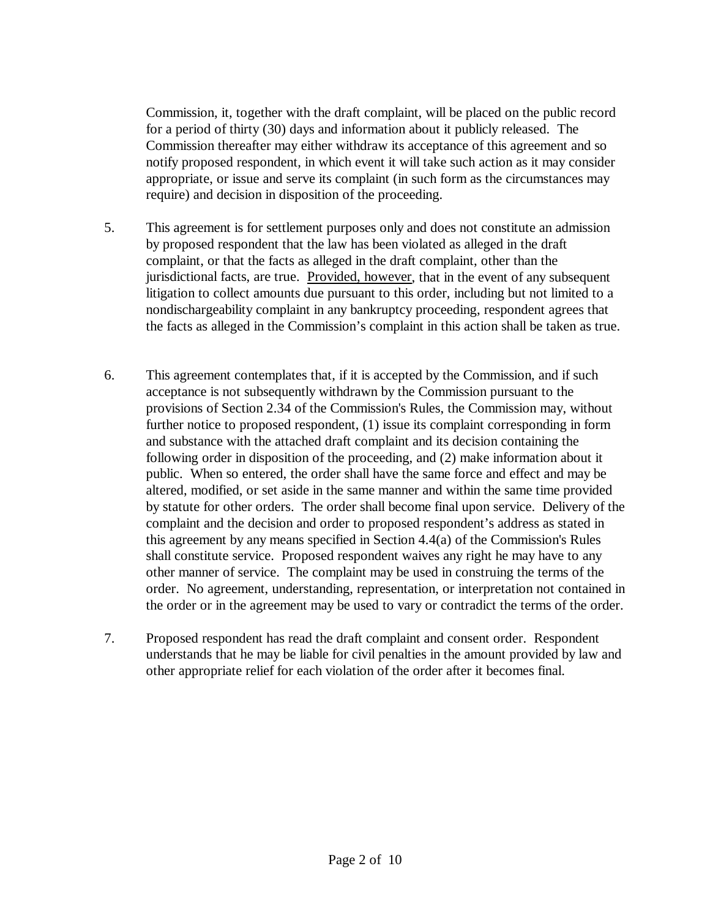Commission, it, together with the draft complaint, will be placed on the public record for a period of thirty (30) days and information about it publicly released. The Commission thereafter may either withdraw its acceptance of this agreement and so notify proposed respondent, in which event it will take such action as it may consider appropriate, or issue and serve its complaint (in such form as the circumstances may require) and decision in disposition of the proceeding.

- 5. This agreement is for settlement purposes only and does not constitute an admission by proposed respondent that the law has been violated as alleged in the draft complaint, or that the facts as alleged in the draft complaint, other than the jurisdictional facts, are true. Provided, however, that in the event of any subsequent litigation to collect amounts due pursuant to this order, including but not limited to a nondischargeability complaint in any bankruptcy proceeding, respondent agrees that the facts as alleged in the Commission's complaint in this action shall be taken as true.
- 6. This agreement contemplates that, if it is accepted by the Commission, and if such acceptance is not subsequently withdrawn by the Commission pursuant to the provisions of Section 2.34 of the Commission's Rules, the Commission may, without further notice to proposed respondent, (1) issue its complaint corresponding in form and substance with the attached draft complaint and its decision containing the following order in disposition of the proceeding, and (2) make information about it public. When so entered, the order shall have the same force and effect and may be altered, modified, or set aside in the same manner and within the same time provided by statute for other orders. The order shall become final upon service. Delivery of the complaint and the decision and order to proposed respondent's address as stated in this agreement by any means specified in Section 4.4(a) of the Commission's Rules shall constitute service. Proposed respondent waives any right he may have to any other manner of service. The complaint may be used in construing the terms of the order. No agreement, understanding, representation, or interpretation not contained in the order or in the agreement may be used to vary or contradict the terms of the order.
- 7. Proposed respondent has read the draft complaint and consent order. Respondent understands that he may be liable for civil penalties in the amount provided by law and other appropriate relief for each violation of the order after it becomes final.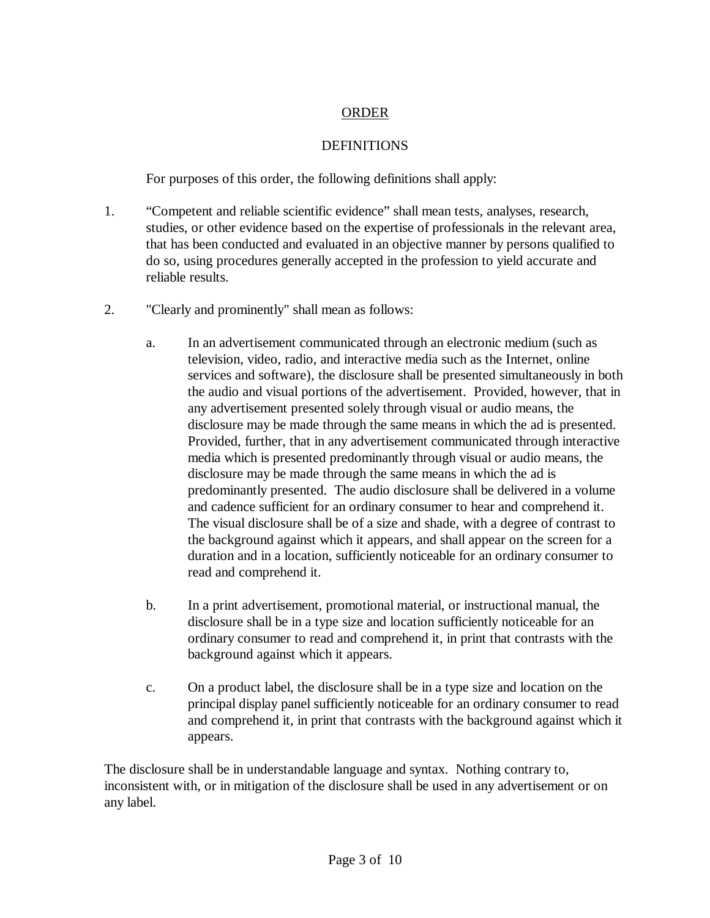# ORDER

# **DEFINITIONS**

For purposes of this order, the following definitions shall apply:

- 1. "Competent and reliable scientific evidence" shall mean tests, analyses, research, studies, or other evidence based on the expertise of professionals in the relevant area, that has been conducted and evaluated in an objective manner by persons qualified to do so, using procedures generally accepted in the profession to yield accurate and reliable results.
- 2. "Clearly and prominently" shall mean as follows:
	- a. In an advertisement communicated through an electronic medium (such as television, video, radio, and interactive media such as the Internet, online services and software), the disclosure shall be presented simultaneously in both the audio and visual portions of the advertisement. Provided, however, that in any advertisement presented solely through visual or audio means, the disclosure may be made through the same means in which the ad is presented. Provided, further, that in any advertisement communicated through interactive media which is presented predominantly through visual or audio means, the disclosure may be made through the same means in which the ad is predominantly presented. The audio disclosure shall be delivered in a volume and cadence sufficient for an ordinary consumer to hear and comprehend it. The visual disclosure shall be of a size and shade, with a degree of contrast to the background against which it appears, and shall appear on the screen for a duration and in a location, sufficiently noticeable for an ordinary consumer to read and comprehend it.
	- b. In a print advertisement, promotional material, or instructional manual, the disclosure shall be in a type size and location sufficiently noticeable for an ordinary consumer to read and comprehend it, in print that contrasts with the background against which it appears.
	- c. On a product label, the disclosure shall be in a type size and location on the principal display panel sufficiently noticeable for an ordinary consumer to read and comprehend it, in print that contrasts with the background against which it appears.

The disclosure shall be in understandable language and syntax. Nothing contrary to, inconsistent with, or in mitigation of the disclosure shall be used in any advertisement or on any label.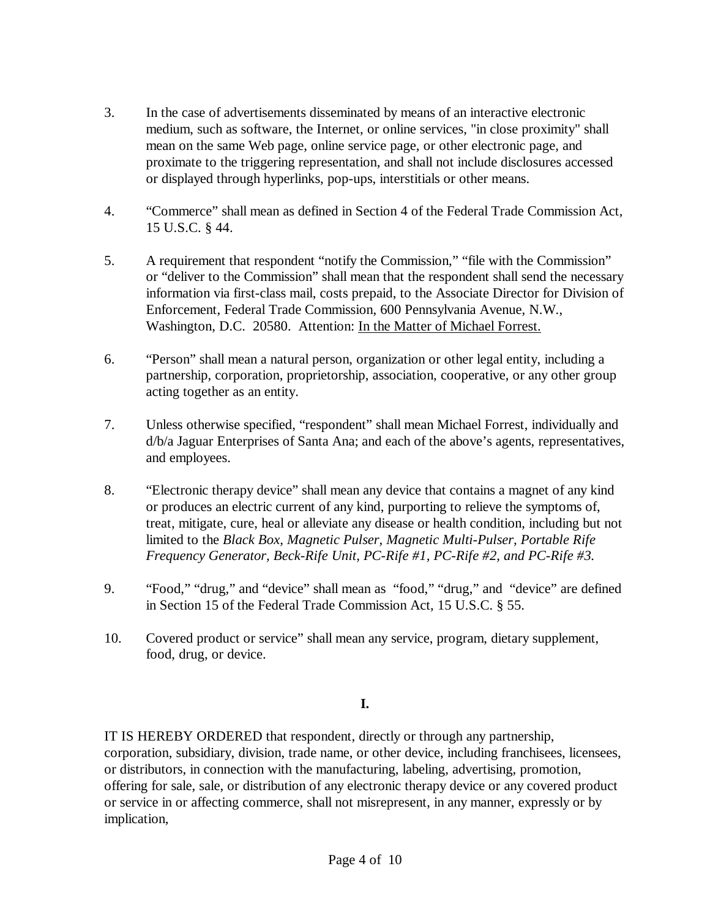- 3. In the case of advertisements disseminated by means of an interactive electronic medium, such as software, the Internet, or online services, "in close proximity" shall mean on the same Web page, online service page, or other electronic page, and proximate to the triggering representation, and shall not include disclosures accessed or displayed through hyperlinks, pop-ups, interstitials or other means.
- 4. "Commerce" shall mean as defined in Section 4 of the Federal Trade Commission Act, 15 U.S.C. § 44.
- 5. A requirement that respondent "notify the Commission," "file with the Commission" or "deliver to the Commission" shall mean that the respondent shall send the necessary information via first-class mail, costs prepaid, to the Associate Director for Division of Enforcement, Federal Trade Commission, 600 Pennsylvania Avenue, N.W., Washington, D.C. 20580. Attention: In the Matter of Michael Forrest.
- 6. "Person" shall mean a natural person, organization or other legal entity, including a partnership, corporation, proprietorship, association, cooperative, or any other group acting together as an entity.
- 7. Unless otherwise specified, "respondent" shall mean Michael Forrest, individually and d/b/a Jaguar Enterprises of Santa Ana; and each of the above's agents, representatives, and employees.
- 8. "Electronic therapy device" shall mean any device that contains a magnet of any kind or produces an electric current of any kind, purporting to relieve the symptoms of, treat, mitigate, cure, heal or alleviate any disease or health condition, including but not limited to the *Black Box, Magnetic Pulser, Magnetic Multi-Pulser, Portable Rife Frequency Generator, Beck-Rife Unit, PC-Rife #1, PC-Rife #2, and PC-Rife #3.*
- 9. "Food," "drug," and "device" shall mean as "food," "drug," and "device" are defined in Section 15 of the Federal Trade Commission Act, 15 U.S.C. § 55.
- 10. Covered product or service" shall mean any service, program, dietary supplement, food, drug, or device.

## **I.**

IT IS HEREBY ORDERED that respondent, directly or through any partnership, corporation, subsidiary, division, trade name, or other device, including franchisees, licensees, or distributors, in connection with the manufacturing, labeling, advertising, promotion, offering for sale, sale, or distribution of any electronic therapy device or any covered product or service in or affecting commerce, shall not misrepresent, in any manner, expressly or by implication,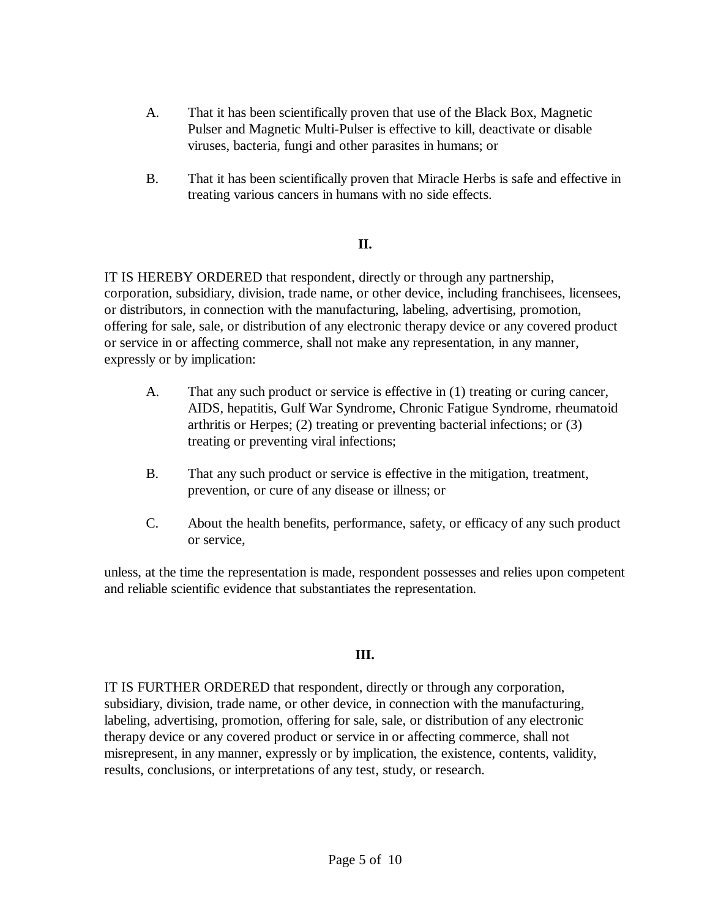- A. That it has been scientifically proven that use of the Black Box, Magnetic Pulser and Magnetic Multi-Pulser is effective to kill, deactivate or disable viruses, bacteria, fungi and other parasites in humans; or
- B. That it has been scientifically proven that Miracle Herbs is safe and effective in treating various cancers in humans with no side effects.

#### **II.**

IT IS HEREBY ORDERED that respondent, directly or through any partnership, corporation, subsidiary, division, trade name, or other device, including franchisees, licensees, or distributors, in connection with the manufacturing, labeling, advertising, promotion, offering for sale, sale, or distribution of any electronic therapy device or any covered product or service in or affecting commerce, shall not make any representation, in any manner, expressly or by implication:

- A. That any such product or service is effective in (1) treating or curing cancer, AIDS, hepatitis, Gulf War Syndrome, Chronic Fatigue Syndrome, rheumatoid arthritis or Herpes; (2) treating or preventing bacterial infections; or (3) treating or preventing viral infections;
- B. That any such product or service is effective in the mitigation, treatment, prevention, or cure of any disease or illness; or
- C. About the health benefits, performance, safety, or efficacy of any such product or service,

unless, at the time the representation is made, respondent possesses and relies upon competent and reliable scientific evidence that substantiates the representation.

## **III.**

IT IS FURTHER ORDERED that respondent, directly or through any corporation, subsidiary, division, trade name, or other device, in connection with the manufacturing, labeling, advertising, promotion, offering for sale, sale, or distribution of any electronic therapy device or any covered product or service in or affecting commerce, shall not misrepresent, in any manner, expressly or by implication, the existence, contents, validity, results, conclusions, or interpretations of any test, study, or research.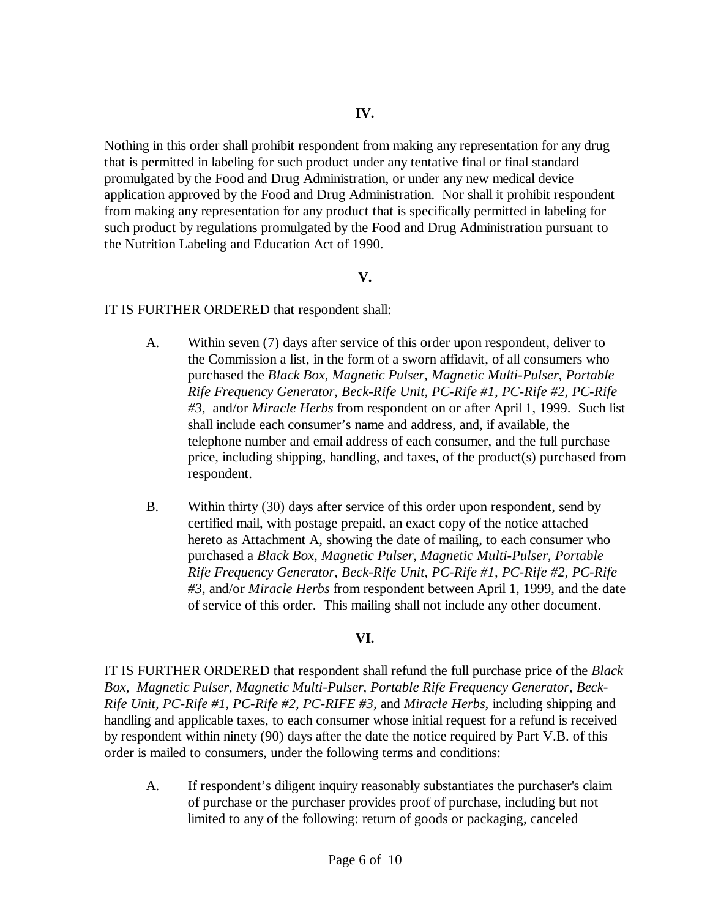Nothing in this order shall prohibit respondent from making any representation for any drug that is permitted in labeling for such product under any tentative final or final standard promulgated by the Food and Drug Administration, or under any new medical device application approved by the Food and Drug Administration. Nor shall it prohibit respondent from making any representation for any product that is specifically permitted in labeling for such product by regulations promulgated by the Food and Drug Administration pursuant to the Nutrition Labeling and Education Act of 1990.

#### **V.**

#### IT IS FURTHER ORDERED that respondent shall:

- A. Within seven (7) days after service of this order upon respondent, deliver to the Commission a list, in the form of a sworn affidavit, of all consumers who purchased the *Black Box, Magnetic Pulser, Magnetic Multi-Pulser, Portable Rife Frequency Generator, Beck-Rife Unit, PC-Rife #1, PC-Rife #2, PC-Rife #3,* and/or *Miracle Herbs* from respondent on or after April 1, 1999. Such list shall include each consumer's name and address, and, if available, the telephone number and email address of each consumer, and the full purchase price, including shipping, handling, and taxes, of the product(s) purchased from respondent.
- B. Within thirty (30) days after service of this order upon respondent, send by certified mail, with postage prepaid, an exact copy of the notice attached hereto as Attachment A, showing the date of mailing, to each consumer who purchased a *Black Box, Magnetic Pulser, Magnetic Multi-Pulser, Portable Rife Frequency Generator, Beck-Rife Unit, PC-Rife #1, PC-Rife #2, PC-Rife #3,* and/or *Miracle Herbs* from respondent between April 1, 1999, and the date of service of this order. This mailing shall not include any other document.

## **VI.**

IT IS FURTHER ORDERED that respondent shall refund the full purchase price of the *Black Box, Magnetic Pulser, Magnetic Multi-Pulser, Portable Rife Frequency Generator, Beck-Rife Unit, PC-Rife #1, PC-Rife #2, PC-RIFE #3,* and *Miracle Herbs*, including shipping and handling and applicable taxes, to each consumer whose initial request for a refund is received by respondent within ninety (90) days after the date the notice required by Part V.B. of this order is mailed to consumers, under the following terms and conditions:

A. If respondent's diligent inquiry reasonably substantiates the purchaser's claim of purchase or the purchaser provides proof of purchase, including but not limited to any of the following: return of goods or packaging, canceled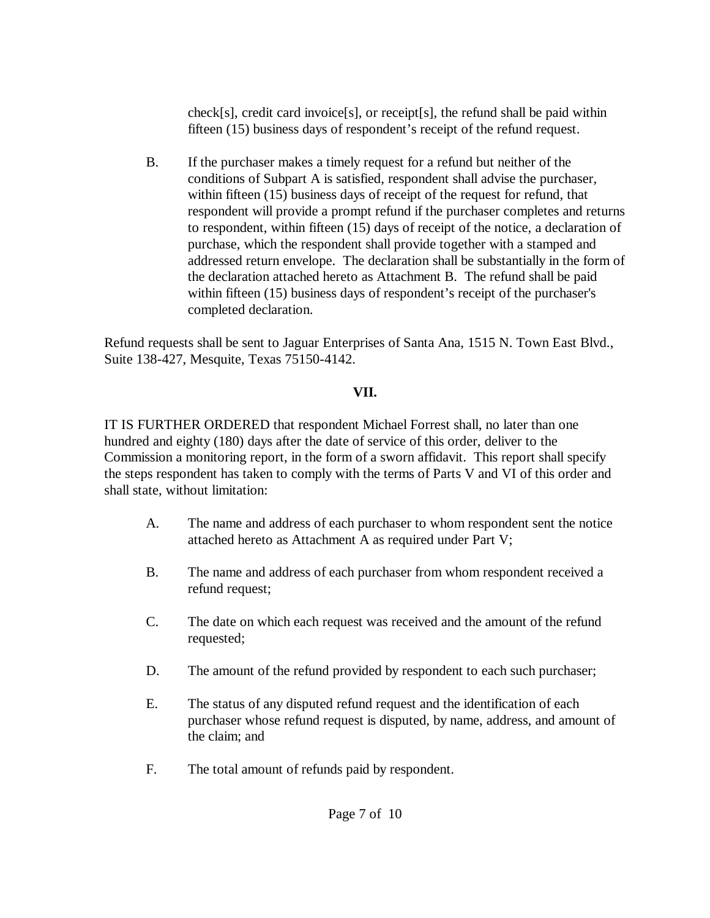check[s], credit card invoice[s], or receipt[s], the refund shall be paid within fifteen (15) business days of respondent's receipt of the refund request.

B. If the purchaser makes a timely request for a refund but neither of the conditions of Subpart A is satisfied, respondent shall advise the purchaser, within fifteen (15) business days of receipt of the request for refund, that respondent will provide a prompt refund if the purchaser completes and returns to respondent, within fifteen (15) days of receipt of the notice, a declaration of purchase, which the respondent shall provide together with a stamped and addressed return envelope. The declaration shall be substantially in the form of the declaration attached hereto as Attachment B. The refund shall be paid within fifteen (15) business days of respondent's receipt of the purchaser's completed declaration.

Refund requests shall be sent to Jaguar Enterprises of Santa Ana, 1515 N. Town East Blvd., Suite 138-427, Mesquite, Texas 75150-4142.

# **VII.**

IT IS FURTHER ORDERED that respondent Michael Forrest shall, no later than one hundred and eighty (180) days after the date of service of this order, deliver to the Commission a monitoring report, in the form of a sworn affidavit. This report shall specify the steps respondent has taken to comply with the terms of Parts V and VI of this order and shall state, without limitation:

- A. The name and address of each purchaser to whom respondent sent the notice attached hereto as Attachment A as required under Part V;
- B. The name and address of each purchaser from whom respondent received a refund request;
- C. The date on which each request was received and the amount of the refund requested;
- D. The amount of the refund provided by respondent to each such purchaser;
- E. The status of any disputed refund request and the identification of each purchaser whose refund request is disputed, by name, address, and amount of the claim; and
- F. The total amount of refunds paid by respondent.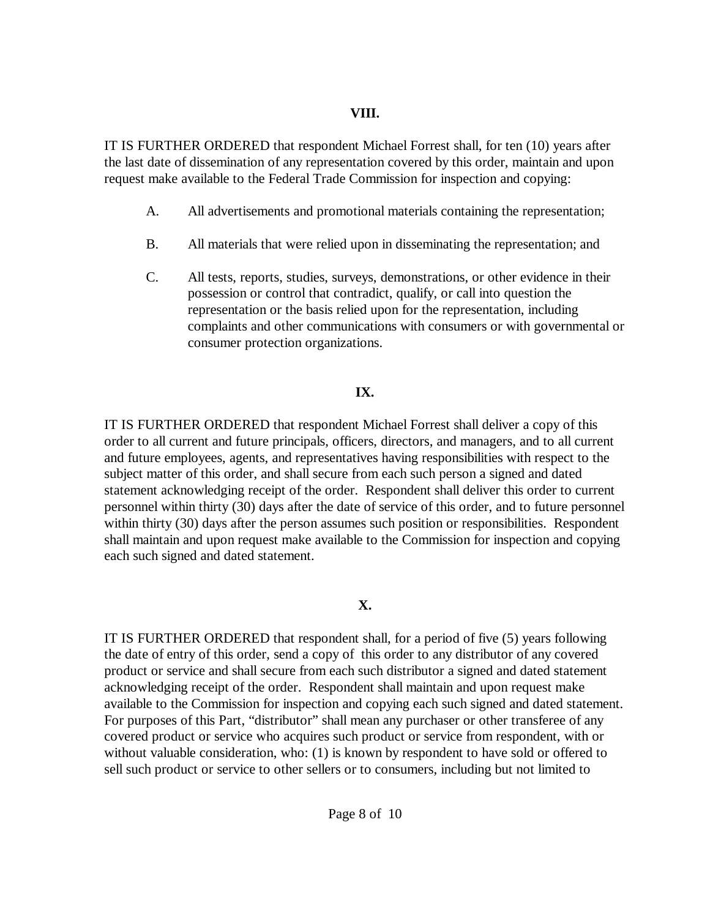#### **VIII.**

IT IS FURTHER ORDERED that respondent Michael Forrest shall, for ten (10) years after the last date of dissemination of any representation covered by this order, maintain and upon request make available to the Federal Trade Commission for inspection and copying:

- A. All advertisements and promotional materials containing the representation;
- B. All materials that were relied upon in disseminating the representation; and
- C. All tests, reports, studies, surveys, demonstrations, or other evidence in their possession or control that contradict, qualify, or call into question the representation or the basis relied upon for the representation, including complaints and other communications with consumers or with governmental or consumer protection organizations.

# **IX.**

IT IS FURTHER ORDERED that respondent Michael Forrest shall deliver a copy of this order to all current and future principals, officers, directors, and managers, and to all current and future employees, agents, and representatives having responsibilities with respect to the subject matter of this order, and shall secure from each such person a signed and dated statement acknowledging receipt of the order. Respondent shall deliver this order to current personnel within thirty (30) days after the date of service of this order, and to future personnel within thirty (30) days after the person assumes such position or responsibilities. Respondent shall maintain and upon request make available to the Commission for inspection and copying each such signed and dated statement.

# **X.**

IT IS FURTHER ORDERED that respondent shall, for a period of five (5) years following the date of entry of this order, send a copy of this order to any distributor of any covered product or service and shall secure from each such distributor a signed and dated statement acknowledging receipt of the order. Respondent shall maintain and upon request make available to the Commission for inspection and copying each such signed and dated statement. For purposes of this Part, "distributor" shall mean any purchaser or other transferee of any covered product or service who acquires such product or service from respondent, with or without valuable consideration, who: (1) is known by respondent to have sold or offered to sell such product or service to other sellers or to consumers, including but not limited to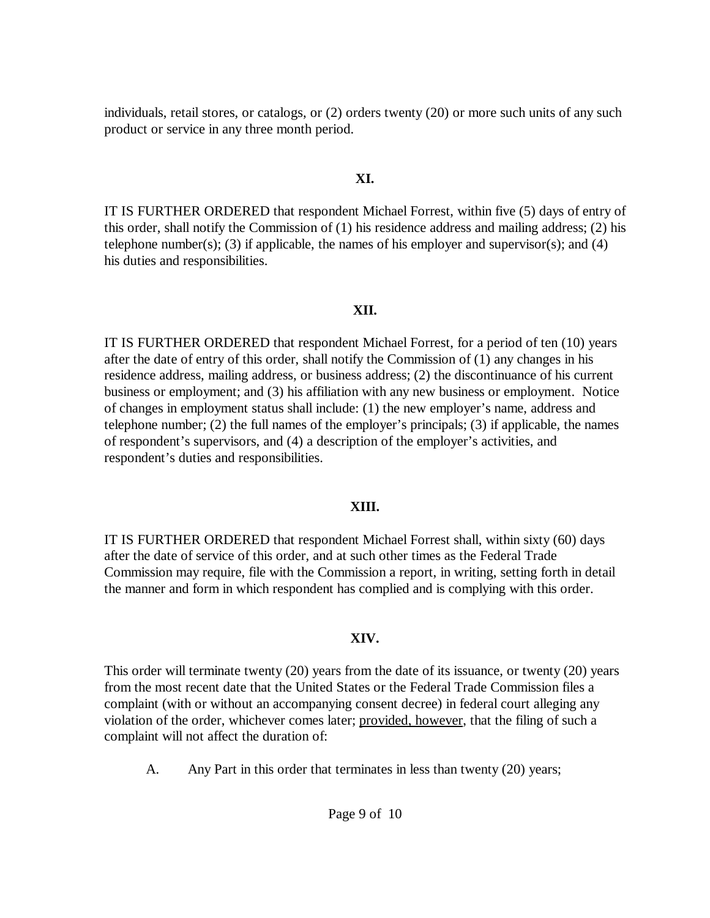individuals, retail stores, or catalogs, or (2) orders twenty (20) or more such units of any such product or service in any three month period.

### **XI.**

IT IS FURTHER ORDERED that respondent Michael Forrest, within five (5) days of entry of this order, shall notify the Commission of (1) his residence address and mailing address; (2) his telephone number(s); (3) if applicable, the names of his employer and supervisor(s); and (4) his duties and responsibilities.

#### **XII.**

IT IS FURTHER ORDERED that respondent Michael Forrest, for a period of ten (10) years after the date of entry of this order, shall notify the Commission of (1) any changes in his residence address, mailing address, or business address; (2) the discontinuance of his current business or employment; and (3) his affiliation with any new business or employment. Notice of changes in employment status shall include: (1) the new employer's name, address and telephone number; (2) the full names of the employer's principals; (3) if applicable, the names of respondent's supervisors, and (4) a description of the employer's activities, and respondent's duties and responsibilities.

## **XIII.**

IT IS FURTHER ORDERED that respondent Michael Forrest shall, within sixty (60) days after the date of service of this order, and at such other times as the Federal Trade Commission may require, file with the Commission a report, in writing, setting forth in detail the manner and form in which respondent has complied and is complying with this order.

## **XIV.**

This order will terminate twenty (20) years from the date of its issuance, or twenty (20) years from the most recent date that the United States or the Federal Trade Commission files a complaint (with or without an accompanying consent decree) in federal court alleging any violation of the order, whichever comes later; provided, however, that the filing of such a complaint will not affect the duration of:

A. Any Part in this order that terminates in less than twenty (20) years;